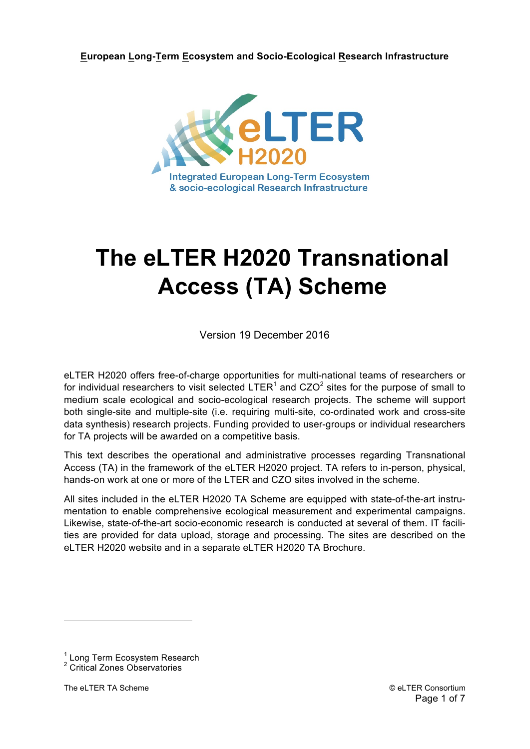**European Long-Term Ecosystem and Socio-Ecological Research Infrastructure**



# **The eLTER H2020 Transnational Access (TA) Scheme**

Version 19 December 2016

eLTER H2020 offers free-of-charge opportunities for multi-national teams of researchers or for individual researchers to visit selected  $LTER<sup>1</sup>$  and  $CZO<sup>2</sup>$  sites for the purpose of small to medium scale ecological and socio-ecological research projects. The scheme will support both single-site and multiple-site (i.e. requiring multi-site, co-ordinated work and cross-site data synthesis) research projects. Funding provided to user-groups or individual researchers for TA projects will be awarded on a competitive basis.

This text describes the operational and administrative processes regarding Transnational Access (TA) in the framework of the eLTER H2020 project. TA refers to in-person, physical, hands-on work at one or more of the LTER and CZO sites involved in the scheme.

All sites included in the eLTER H2020 TA Scheme are equipped with state-of-the-art instrumentation to enable comprehensive ecological measurement and experimental campaigns. Likewise, state-of-the-art socio-economic research is conducted at several of them. IT facilities are provided for data upload, storage and processing. The sites are described on the eLTER H2020 website and in a separate eLTER H2020 TA Brochure.

<sup>&</sup>lt;sup>1</sup> Long Term Ecosystem Research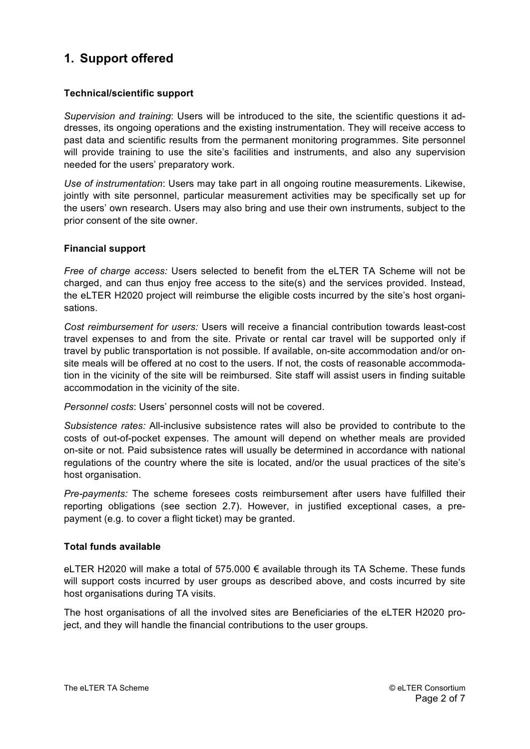# **1. Support offered**

# **Technical/scientific support**

*Supervision and training*: Users will be introduced to the site, the scientific questions it addresses, its ongoing operations and the existing instrumentation. They will receive access to past data and scientific results from the permanent monitoring programmes. Site personnel will provide training to use the site's facilities and instruments, and also any supervision needed for the users' preparatory work.

*Use of instrumentation*: Users may take part in all ongoing routine measurements. Likewise, jointly with site personnel, particular measurement activities may be specifically set up for the users' own research. Users may also bring and use their own instruments, subject to the prior consent of the site owner.

# **Financial support**

*Free of charge access:* Users selected to benefit from the eLTER TA Scheme will not be charged, and can thus enjoy free access to the site(s) and the services provided. Instead, the eLTER H2020 project will reimburse the eligible costs incurred by the site's host organisations.

*Cost reimbursement for users:* Users will receive a financial contribution towards least-cost travel expenses to and from the site. Private or rental car travel will be supported only if travel by public transportation is not possible. If available, on-site accommodation and/or onsite meals will be offered at no cost to the users. If not, the costs of reasonable accommodation in the vicinity of the site will be reimbursed. Site staff will assist users in finding suitable accommodation in the vicinity of the site.

*Personnel costs*: Users' personnel costs will not be covered.

*Subsistence rates:* All-inclusive subsistence rates will also be provided to contribute to the costs of out-of-pocket expenses. The amount will depend on whether meals are provided on-site or not. Paid subsistence rates will usually be determined in accordance with national regulations of the country where the site is located, and/or the usual practices of the site's host organisation.

*Pre-payments:* The scheme foresees costs reimbursement after users have fulfilled their reporting obligations (see section 2.7). However, in justified exceptional cases, a prepayment (e.g. to cover a flight ticket) may be granted.

## **Total funds available**

eLTER H2020 will make a total of 575.000 € available through its TA Scheme. These funds will support costs incurred by user groups as described above, and costs incurred by site host organisations during TA visits.

The host organisations of all the involved sites are Beneficiaries of the eLTER H2020 project, and they will handle the financial contributions to the user groups.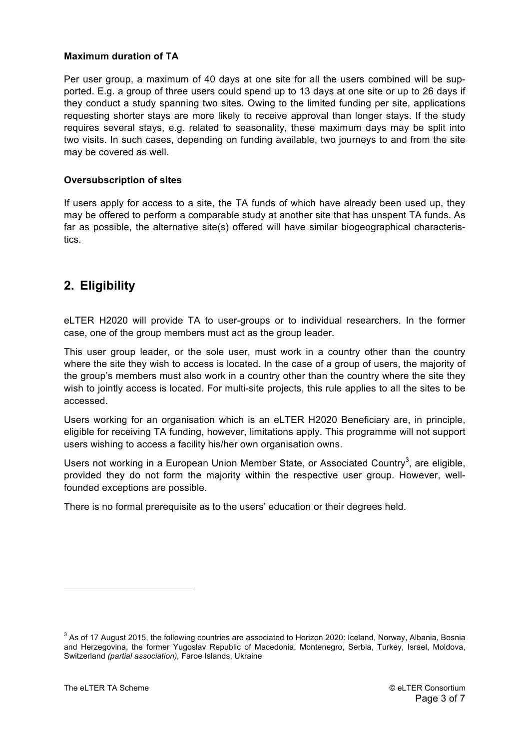## **Maximum duration of TA**

Per user group, a maximum of 40 days at one site for all the users combined will be supported. E.g. a group of three users could spend up to 13 days at one site or up to 26 days if they conduct a study spanning two sites. Owing to the limited funding per site, applications requesting shorter stays are more likely to receive approval than longer stays. If the study requires several stays, e.g. related to seasonality, these maximum days may be split into two visits. In such cases, depending on funding available, two journeys to and from the site may be covered as well.

# **Oversubscription of sites**

If users apply for access to a site, the TA funds of which have already been used up, they may be offered to perform a comparable study at another site that has unspent TA funds. As far as possible, the alternative site(s) offered will have similar biogeographical characteristics.

# **2. Eligibility**

eLTER H2020 will provide TA to user-groups or to individual researchers. In the former case, one of the group members must act as the group leader.

This user group leader, or the sole user, must work in a country other than the country where the site they wish to access is located. In the case of a group of users, the majority of the group's members must also work in a country other than the country where the site they wish to jointly access is located. For multi-site projects, this rule applies to all the sites to be accessed.

Users working for an organisation which is an eLTER H2020 Beneficiary are, in principle, eligible for receiving TA funding, however, limitations apply. This programme will not support users wishing to access a facility his/her own organisation owns.

Users not working in a European Union Member State, or Associated Country<sup>3</sup>, are eligible, provided they do not form the majority within the respective user group. However, wellfounded exceptions are possible.

There is no formal prerequisite as to the users' education or their degrees held.

 $3$  As of 17 August 2015, the following countries are associated to Horizon 2020: Iceland, Norway, Albania, Bosnia and Herzegovina, the former Yugoslav Republic of Macedonia, Montenegro, Serbia, Turkey, Israel, Moldova, Switzerland *(partial association),* Faroe Islands, Ukraine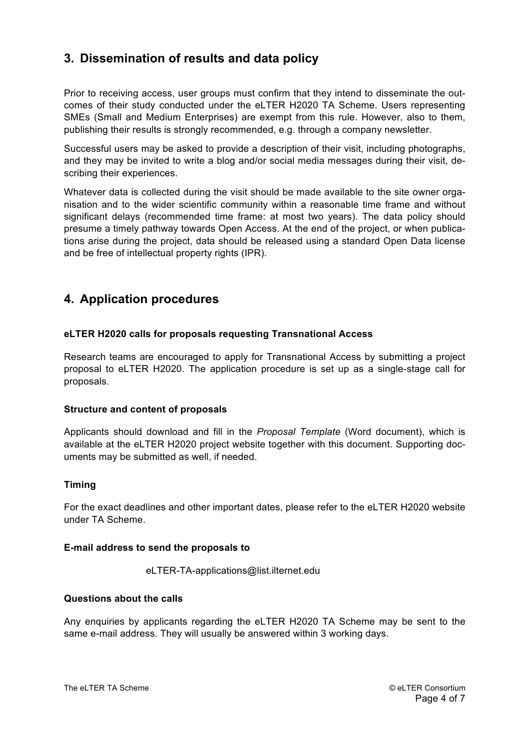# **3. Dissemination of results and data policy**

Prior to receiving access, user groups must confirm that they intend to disseminate the outcomes of their study conducted under the eLTER H2020 TA Scheme. Users representing SMEs (Small and Medium Enterprises) are exempt from this rule. However, also to them, publishing their results is strongly recommended, e.g. through a company newsletter.

Successful users may be asked to provide a description of their visit, including photographs, and they may be invited to write a blog and/or social media messages during their visit, describing their experiences.

Whatever data is collected during the visit should be made available to the site owner organisation and to the wider scientific community within a reasonable time frame and without significant delays (recommended time frame: at most two years). The data policy should presume a timely pathway towards Open Access. At the end of the project, or when publications arise during the project, data should be released using a standard Open Data license and be free of intellectual property rights (IPR).

# **4. Application procedures**

## **eLTER H2020 calls for proposals requesting Transnational Access**

Research teams are encouraged to apply for Transnational Access by submitting a project proposal to eLTER H2020. The application procedure is set up as a single-stage call for proposals.

## **Structure and content of proposals**

Applicants should download and fill in the *Proposal Template* (Word document), which is available at the eLTER H2020 project website together with this document. Supporting documents may be submitted as well, if needed.

## **Timing**

For the exact deadlines and other important dates, please refer to the eLTER H2020 website under TA Scheme.

#### **E-mail address to send the proposals to**

eLTER-TA-applications@list.ilternet.edu

## **Questions about the calls**

Any enquiries by applicants regarding the eLTER H2020 TA Scheme may be sent to the same e-mail address. They will usually be answered within 3 working days.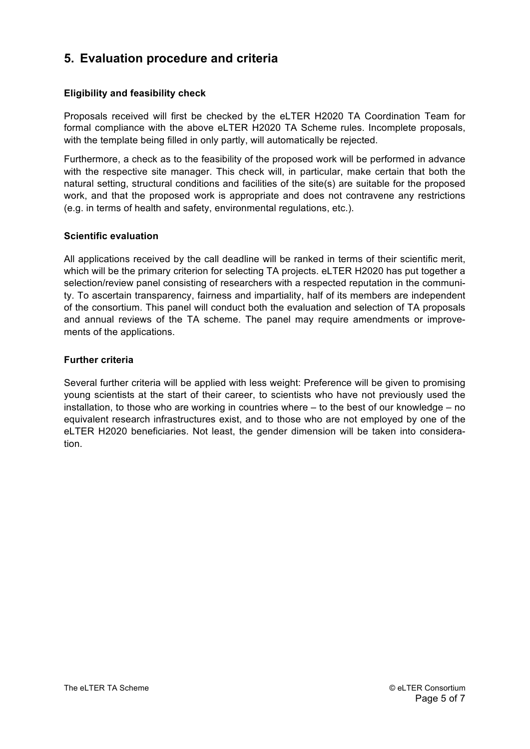# **5. Evaluation procedure and criteria**

# **Eligibility and feasibility check**

Proposals received will first be checked by the eLTER H2020 TA Coordination Team for formal compliance with the above eLTER H2020 TA Scheme rules. Incomplete proposals, with the template being filled in only partly, will automatically be rejected.

Furthermore, a check as to the feasibility of the proposed work will be performed in advance with the respective site manager. This check will, in particular, make certain that both the natural setting, structural conditions and facilities of the site(s) are suitable for the proposed work, and that the proposed work is appropriate and does not contravene any restrictions (e.g. in terms of health and safety, environmental regulations, etc.).

# **Scientific evaluation**

All applications received by the call deadline will be ranked in terms of their scientific merit, which will be the primary criterion for selecting TA projects. eLTER H2020 has put together a selection/review panel consisting of researchers with a respected reputation in the community. To ascertain transparency, fairness and impartiality, half of its members are independent of the consortium. This panel will conduct both the evaluation and selection of TA proposals and annual reviews of the TA scheme. The panel may require amendments or improvements of the applications.

# **Further criteria**

Several further criteria will be applied with less weight: Preference will be given to promising young scientists at the start of their career, to scientists who have not previously used the installation, to those who are working in countries where – to the best of our knowledge – no equivalent research infrastructures exist, and to those who are not employed by one of the eLTER H2020 beneficiaries. Not least, the gender dimension will be taken into consideration.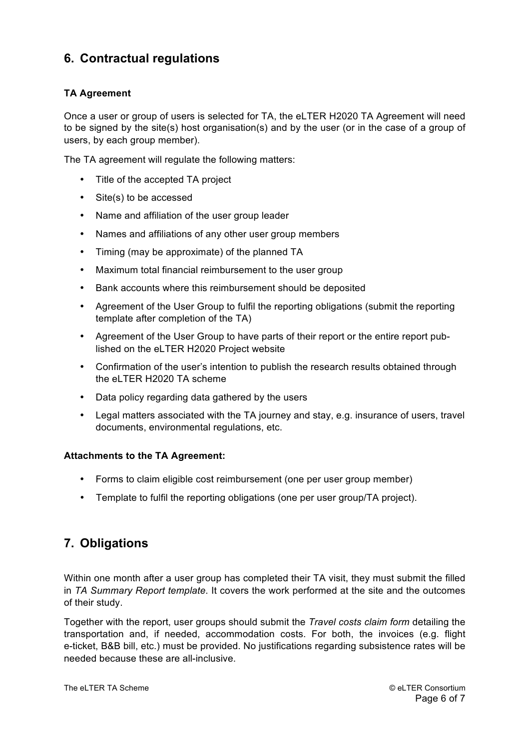# **6. Contractual regulations**

# **TA Agreement**

Once a user or group of users is selected for TA, the eLTER H2020 TA Agreement will need to be signed by the site(s) host organisation(s) and by the user (or in the case of a group of users, by each group member).

The TA agreement will regulate the following matters:

- Title of the accepted TA project
- Site(s) to be accessed
- Name and affiliation of the user group leader
- Names and affiliations of any other user group members
- Timing (may be approximate) of the planned TA
- Maximum total financial reimbursement to the user group
- Bank accounts where this reimbursement should be deposited
- Agreement of the User Group to fulfil the reporting obligations (submit the reporting template after completion of the TA)
- Agreement of the User Group to have parts of their report or the entire report published on the eLTER H2020 Project website
- Confirmation of the user's intention to publish the research results obtained through the eLTER H2020 TA scheme
- Data policy regarding data gathered by the users
- Legal matters associated with the TA journey and stay, e.g. insurance of users, travel documents, environmental regulations, etc.

## **Attachments to the TA Agreement:**

- Forms to claim eligible cost reimbursement (one per user group member)
- Template to fulfil the reporting obligations (one per user group/TA project).

# **7. Obligations**

Within one month after a user group has completed their TA visit, they must submit the filled in *TA Summary Report template*. It covers the work performed at the site and the outcomes of their study.

Together with the report, user groups should submit the *Travel costs claim form* detailing the transportation and, if needed, accommodation costs. For both, the invoices (e.g. flight e-ticket, B&B bill, etc.) must be provided. No justifications regarding subsistence rates will be needed because these are all-inclusive.